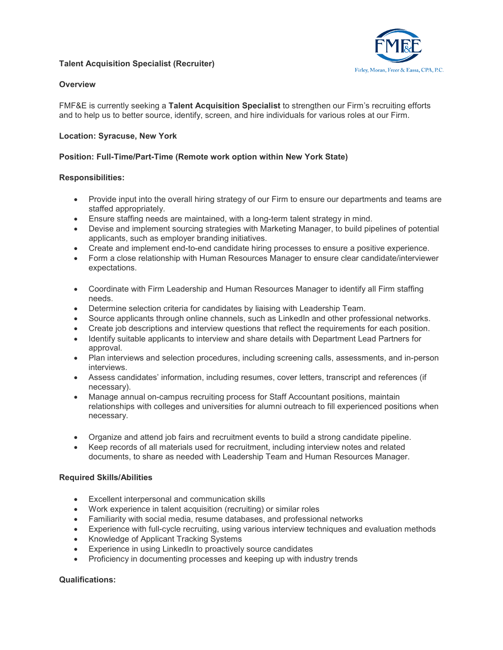# **Talent Acquisition Specialist (Recruiter)**



# **Overview**

FMF&E is currently seeking a **Talent Acquisition Specialist** to strengthen our Firm's recruiting efforts and to help us to better source, identify, screen, and hire individuals for various roles at our Firm.

# **Location: Syracuse, New York**

# **Position: Full-Time/Part-Time (Remote work option within New York State)**

#### **Responsibilities:**

- Provide input into the overall hiring strategy of our Firm to ensure our departments and teams are staffed appropriately.
- Ensure staffing needs are maintained, with a long-term talent strategy in mind.
- Devise and implement sourcing strategies with Marketing Manager, to build pipelines of potential applicants, such as employer branding initiatives.
- Create and implement end-to-end candidate hiring processes to ensure a positive experience.
- Form a close relationship with Human Resources Manager to ensure clear candidate/interviewer expectations.
- Coordinate with Firm Leadership and Human Resources Manager to identify all Firm staffing needs.
- Determine selection criteria for candidates by liaising with Leadership Team.
- Source applicants through online channels, such as LinkedIn and other professional networks.
- Create job descriptions and interview questions that reflect the requirements for each position.
- Identify suitable applicants to interview and share details with Department Lead Partners for approval.
- Plan interviews and selection procedures, including screening calls, assessments, and in-person interviews.
- Assess candidates' information, including resumes, cover letters, transcript and references (if necessary).
- Manage annual on-campus recruiting process for Staff Accountant positions, maintain relationships with colleges and universities for alumni outreach to fill experienced positions when necessary.
- Organize and attend job fairs and recruitment events to build a strong candidate pipeline.
- Keep records of all materials used for recruitment, including interview notes and related documents, to share as needed with Leadership Team and Human Resources Manager.

#### **Required Skills/Abilities**

- Excellent interpersonal and communication skills
- Work experience in talent acquisition (recruiting) or similar roles
- Familiarity with social media, resume databases, and professional networks
- Experience with full-cycle recruiting, using various interview techniques and evaluation methods
- Knowledge of Applicant Tracking Systems
- Experience in using LinkedIn to proactively source candidates
- Proficiency in documenting processes and keeping up with industry trends

#### **Qualifications:**